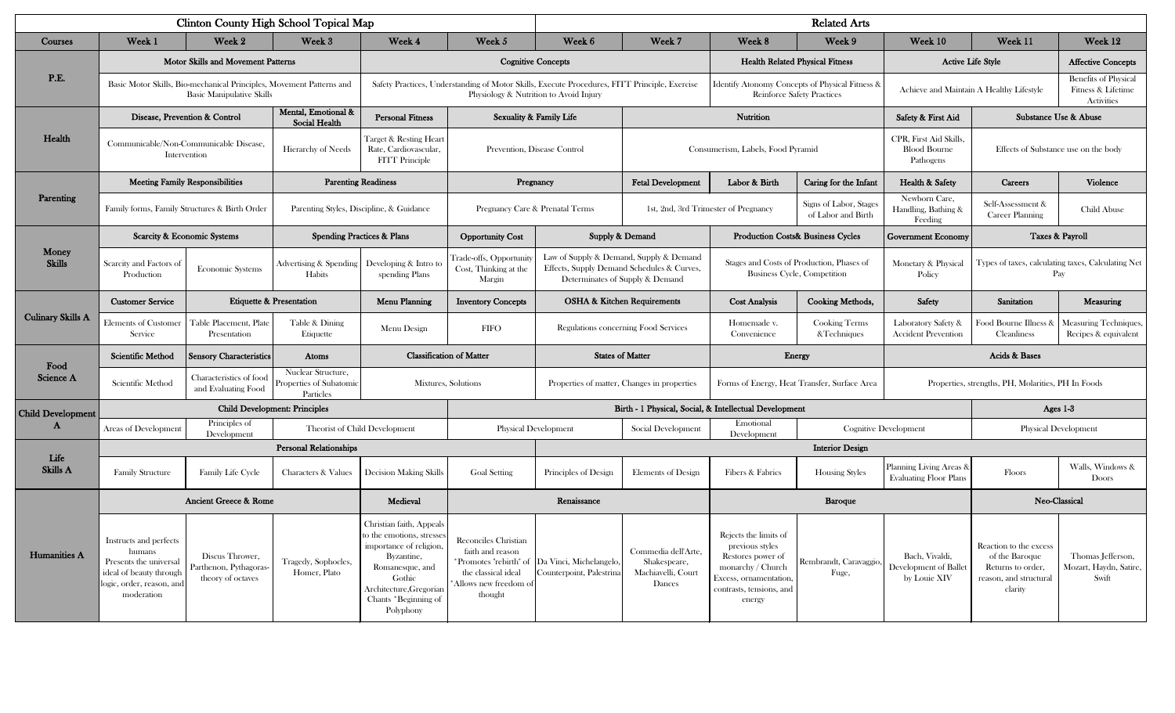|                          | <b>Clinton County High School Topical Map</b>                                                                                     |                                                                |                                                              |                                                                                                                                                                                            |                                                                                                                               |                                                                                                                          | <b>Related Arts</b>                                                 |                                                                                                                                                    |                                                    |                                                            |                                                                                                    |                                                                 |  |  |
|--------------------------|-----------------------------------------------------------------------------------------------------------------------------------|----------------------------------------------------------------|--------------------------------------------------------------|--------------------------------------------------------------------------------------------------------------------------------------------------------------------------------------------|-------------------------------------------------------------------------------------------------------------------------------|--------------------------------------------------------------------------------------------------------------------------|---------------------------------------------------------------------|----------------------------------------------------------------------------------------------------------------------------------------------------|----------------------------------------------------|------------------------------------------------------------|----------------------------------------------------------------------------------------------------|-----------------------------------------------------------------|--|--|
| <b>Courses</b>           | Week 1                                                                                                                            | Week 2                                                         | Week 3                                                       | Week 4                                                                                                                                                                                     | Week 5                                                                                                                        | Week 6                                                                                                                   | Week 7                                                              | Week 8                                                                                                                                             | Week 9                                             | Week 10                                                    | Week 11                                                                                            | Week 12                                                         |  |  |
| P.E.                     | <b>Motor Skills and Movement Patterns</b>                                                                                         |                                                                |                                                              | <b>Cognitive Concepts</b>                                                                                                                                                                  |                                                                                                                               |                                                                                                                          |                                                                     | <b>Health Related Physical Fitness</b>                                                                                                             |                                                    | Active Life Style                                          |                                                                                                    | <b>Affective Concepts</b>                                       |  |  |
|                          | Basic Motor Skills, Bio-mechanical Principles, Movement Patterns and<br><b>Basic Manipulative Skills</b>                          |                                                                |                                                              |                                                                                                                                                                                            | Physiology & Nutrition to Avoid Injury                                                                                        | Safety Practices, Understanding of Motor Skills, Execute Procedures, FITT Principle, Exercise                            |                                                                     | Identify Atonomy Concepts of Physical Fitness &<br><b>Reinforce Safety Practices</b>                                                               |                                                    | Achieve and Maintain A Healthy Lifestyle                   |                                                                                                    | <b>Benefits of Physical</b><br>Fitness & Lifetime<br>Activities |  |  |
|                          | Disease, Prevention & Control                                                                                                     |                                                                | Mental, Emotional &<br>Social Health                         | <b>Personal Fitness</b>                                                                                                                                                                    | Sexuality & Family Life                                                                                                       |                                                                                                                          | Nutrition                                                           |                                                                                                                                                    |                                                    | Safety & First Aid                                         |                                                                                                    | Substance Use & Abuse                                           |  |  |
| Health                   | Communicable/Non-Communicable Disease<br>Intervention                                                                             |                                                                | Hierarchy of Needs                                           | <b>Target &amp; Resting Heart</b><br>Rate, Cardiovascular,<br><b>FITT</b> Principle                                                                                                        | Prevention, Disease Control                                                                                                   |                                                                                                                          | Consumerism, Labels, Food Pyramid                                   |                                                                                                                                                    |                                                    | CPR, First Aid Skills,<br><b>Blood Bourne</b><br>Pathogens | Effects of Substance use on the body                                                               |                                                                 |  |  |
|                          |                                                                                                                                   | <b>Meeting Family Responsibilities</b>                         |                                                              | <b>Parenting Readiness</b>                                                                                                                                                                 |                                                                                                                               | Pregnancy                                                                                                                |                                                                     | Labor & Birth                                                                                                                                      | Caring for the Infant                              | Health & Safety                                            | Careers                                                                                            | Violence                                                        |  |  |
| Parenting                | Family forms, Family Structures & Birth Order                                                                                     |                                                                | Parenting Styles, Discipline, & Guidance                     |                                                                                                                                                                                            | Pregnancy Care & Prenatal Terms                                                                                               |                                                                                                                          | 1st, 2nd, 3rd Trimester of Pregnancy                                |                                                                                                                                                    | Signs of Labor, Stages<br>of Labor and Birth       | Newborn Care,<br>Handling, Bathing &<br>Feeding            | Self-Assessment &<br>Child Abuse<br><b>Career Planning</b>                                         |                                                                 |  |  |
| Money<br><b>Skills</b>   | <b>Scarcity &amp; Economic Systems</b>                                                                                            |                                                                | <b>Spending Practices &amp; Plans</b>                        |                                                                                                                                                                                            | <b>Opportunity Cost</b>                                                                                                       | Supply & Demand                                                                                                          |                                                                     | <b>Production Costs&amp; Business Cycles</b>                                                                                                       |                                                    | <b>Government Economy</b>                                  | Taxes & Payroll                                                                                    |                                                                 |  |  |
|                          | Scarcity and Factors of<br>Production                                                                                             | <b>Economic Systems</b>                                        | Advertising & Spending<br>Habits                             | Developing & Intro to<br>spending Plans                                                                                                                                                    | Trade-offs, Opportunit<br>Cost, Thinking at the<br>Margin                                                                     | Law of Supply & Demand, Supply & Demand<br>Effects, Supply Demand Schedules & Curves,<br>Determinates of Supply & Demand |                                                                     | Stages and Costs of Production, Phases of<br><b>Business Cycle, Competition</b>                                                                    |                                                    | Monetary & Physical<br>Policy                              | Types of taxes, calculating taxes, Calculating Net<br>Pay                                          |                                                                 |  |  |
| <b>Culinary Skills A</b> | <b>Customer Service</b>                                                                                                           |                                                                | <b>Etiquette &amp; Presentation</b>                          | <b>Menu Planning</b>                                                                                                                                                                       | <b>Inventory Concepts</b>                                                                                                     |                                                                                                                          | <b>OSHA &amp; Kitchen Requirements</b>                              | <b>Cost Analysis</b>                                                                                                                               | <b>Cooking Methods,</b>                            | Safety                                                     | Sanitation                                                                                         | <b>Measuring</b>                                                |  |  |
|                          | Elements of Customer<br>Service                                                                                                   | Table Placement, Plate<br>Presentation                         | Table & Dining<br>Etiquette                                  | Menu Design                                                                                                                                                                                | <b>FIFO</b>                                                                                                                   |                                                                                                                          | Regulations concerning Food Services                                | Homemade v.<br>Convenience                                                                                                                         | <b>Cooking Terms</b><br>&Techniques                | Laboratory Safety &<br><b>Accident Prevention</b>          | Food Bourne Illness &<br>Cleanliness                                                               | Measuring Techniques,<br>Recipes & equivalent                   |  |  |
|                          | Scientific Method                                                                                                                 | <b>Sensory Characteristics</b><br>Atoms                        |                                                              | <b>Classification of Matter</b>                                                                                                                                                            |                                                                                                                               | <b>States of Matter</b>                                                                                                  |                                                                     | Energy                                                                                                                                             |                                                    |                                                            | Acids & Bases                                                                                      |                                                                 |  |  |
| Food<br>Science A        | Nuclear Structure,<br>Characteristics of food<br>Properties of Subatomic<br>Scientific Method<br>and Evaluating Food<br>Particles |                                                                | Mixtures, Solutions                                          |                                                                                                                                                                                            | Properties of matter, Changes in properties                                                                                   |                                                                                                                          | Forms of Energy, Heat Transfer, Surface Area                        |                                                                                                                                                    | Properties, strengths, PH, Molarities, PH In Foods |                                                            |                                                                                                    |                                                                 |  |  |
| <b>Child Development</b> |                                                                                                                                   |                                                                | <b>Child Development: Principles</b>                         |                                                                                                                                                                                            |                                                                                                                               |                                                                                                                          |                                                                     | Birth - 1 Physical, Social, & Intellectual Development                                                                                             |                                                    | Ages $1-3$                                                 |                                                                                                    |                                                                 |  |  |
| $\mathbf{A}$             | Principles of<br>Areas of Development<br>Development                                                                              |                                                                | Theorist of Child Development<br><b>Physical Development</b> |                                                                                                                                                                                            | Social Development                                                                                                            |                                                                                                                          | Emotional<br>Development                                            |                                                                                                                                                    | <b>Cognitive Development</b>                       |                                                            | <b>Physical Development</b>                                                                        |                                                                 |  |  |
| Life                     |                                                                                                                                   |                                                                | <b>Personal Relationships</b>                                |                                                                                                                                                                                            |                                                                                                                               |                                                                                                                          | <b>Interior Design</b>                                              |                                                                                                                                                    |                                                    |                                                            |                                                                                                    |                                                                 |  |  |
| Skills A                 | <b>Family Structure</b>                                                                                                           | Family Life Cycle                                              | Characters & Values                                          | <b>Decision Making Skills</b>                                                                                                                                                              | <b>Goal Setting</b>                                                                                                           | Principles of Design                                                                                                     | <b>Elements</b> of Design                                           | Fibers & Fabrics                                                                                                                                   | <b>Housing Styles</b>                              | Planning Living Areas &<br><b>Evaluating Floor Plans</b>   | Floors                                                                                             | Walls, Windows &<br>Doors                                       |  |  |
| Humanities A             | <b>Ancient Greece &amp; Rome</b>                                                                                                  |                                                                |                                                              | Medieval                                                                                                                                                                                   | Renaissance                                                                                                                   |                                                                                                                          |                                                                     | Baroque                                                                                                                                            |                                                    |                                                            |                                                                                                    | Neo-Classical                                                   |  |  |
|                          | Instructs and perfects<br>humans<br>Presents the universal<br>ideal of beauty through<br>logic, order, reason, and<br>moderation  | Discus Thrower,<br>Parthenon, Pythagoras-<br>theory of octaves | Tragedy, Sophocles,<br>Homer, Plato                          | Christian faith, Appeals<br>to the emotions, stresse<br>importance of religion,<br>Byzantine,<br>Romanesque, and<br>Gothic<br>Architecture, Gregorian<br>Chants *Beginning of<br>Polyphony | Reconciles Christian<br>faith and reason<br>*Promotes "rebirth" of<br>the classical ideal<br>Allows new freedom of<br>thought | Da Vinci, Michelangelo,<br>Counterpoint, Palestrina                                                                      | Commedia dell'Arte,<br>Shakespeare,<br>Machiavelli, Court<br>Dances | Rejects the limits of<br>previous styles<br>Restores power of<br>monarchy / Church<br>Excess, ornamentation,<br>contrasts, tensions, and<br>energy | Rembrandt, Caravaggio,<br>Fuge,                    | Bach, Vivaldi,<br>Development of Ballet<br>by Louie XIV    | Reaction to the excess<br>of the Baroque<br>Returns to order,<br>reason, and structural<br>clarity | Thomas Jefferson,<br>Mozart, Haydn, Satire,<br>Swift            |  |  |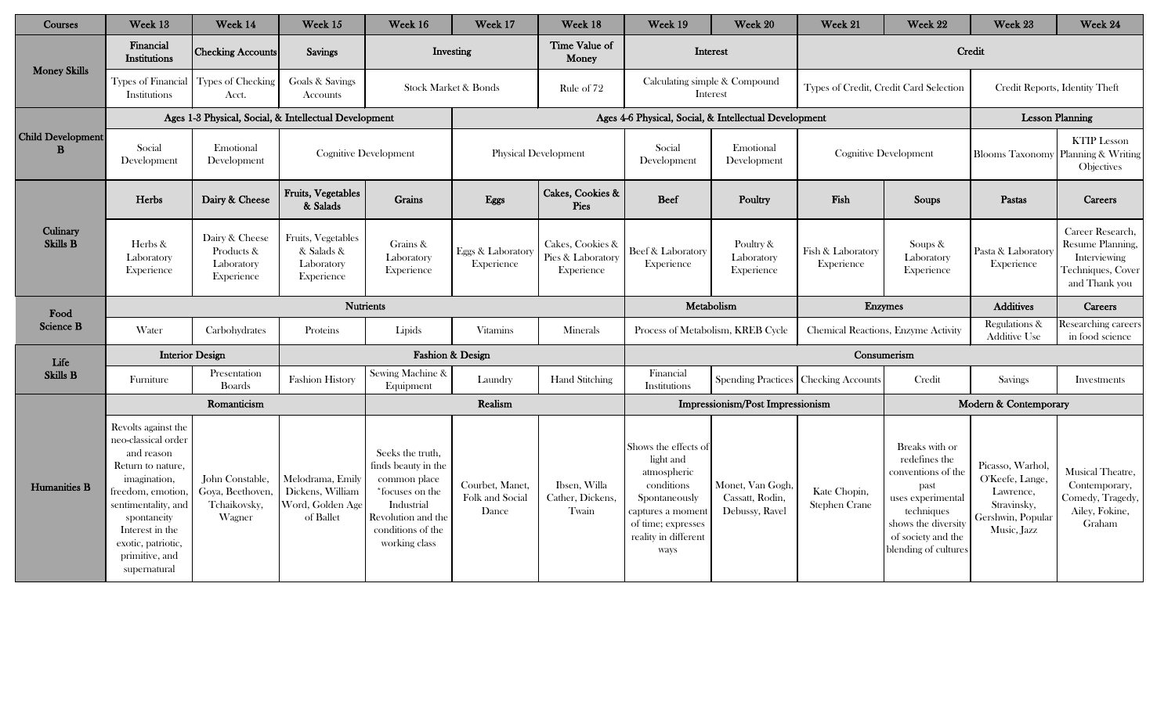| Courses                       | Week 13                                               | Week 14                                                  | Week 15                                                        | Week 16                              | Week 17                                               | Week 18                                             | Week 19                                   | Week 20                                 | Week 21                                       | Week 22                             | Week 23                                                                | Week 24                                                                                    |  |
|-------------------------------|-------------------------------------------------------|----------------------------------------------------------|----------------------------------------------------------------|--------------------------------------|-------------------------------------------------------|-----------------------------------------------------|-------------------------------------------|-----------------------------------------|-----------------------------------------------|-------------------------------------|------------------------------------------------------------------------|--------------------------------------------------------------------------------------------|--|
| <b>Money Skills</b>           | Financial<br>Institutions                             | <b>Checking Accounts</b>                                 | Savings                                                        | Investing                            |                                                       | Time Value of<br>Money                              | Interest                                  |                                         | Credit                                        |                                     |                                                                        |                                                                                            |  |
|                               | Institutions                                          | Types of Financial Types of Checking<br>Acct.            | Goals & Savings<br><b>Stock Market &amp; Bonds</b><br>Accounts |                                      | Rule of 72                                            |                                                     | Calculating simple & Compound<br>Interest |                                         | Types of Credit, Credit Card Selection        |                                     | Credit Reports, Identity Theft                                         |                                                                                            |  |
| <b>Child Development</b><br>B | Ages 1-3 Physical, Social, & Intellectual Development |                                                          |                                                                |                                      | Ages 4-6 Physical, Social, & Intellectual Development |                                                     |                                           |                                         |                                               |                                     |                                                                        | <b>Lesson Planning</b>                                                                     |  |
|                               | Social<br>Emotional<br>Development<br>Development     |                                                          | <b>Cognitive Development</b><br><b>Physical Development</b>    |                                      |                                                       | Social<br>Emotional<br>Development<br>Development   |                                           | <b>Cognitive Development</b>            |                                               |                                     | <b>KTIP</b> Lesson<br>Blooms Taxonomy Planning & Writing<br>Objectives |                                                                                            |  |
| Culinary<br>Skills B          | Herbs                                                 | Dairy & Cheese                                           | Fruits, Vegetables<br>& Salads                                 | Grains                               | Eggs                                                  | Cakes, Cookies &<br>Pies                            | <b>Beef</b>                               | Poultry                                 | Fish                                          | Soups                               | Pastas                                                                 | Careers                                                                                    |  |
|                               | Herbs &<br>Laboratory<br>Experience                   | Dairy & Cheese<br>Products &<br>Laboratory<br>Experience | Fruits, Vegetables<br>& Salads &<br>Laboratory<br>Experience   | Grains &<br>Laboratory<br>Experience | Eggs & Laboratory<br>Experience                       | Cakes, Cookies &<br>Pies & Laboratory<br>Experience | Beef & Laboratory<br>Experience           | Poultry &<br>Laboratory<br>Experience   | Fish & Laboratory<br>Experience               | Soups &<br>Laboratory<br>Experience | Pasta & Laboratory<br>Experience                                       | Career Research,<br>Resume Planning,<br>Interviewing<br>Techniques, Cover<br>and Thank you |  |
|                               | <b>Nutrients</b>                                      |                                                          |                                                                |                                      |                                                       |                                                     |                                           |                                         |                                               |                                     |                                                                        |                                                                                            |  |
|                               |                                                       |                                                          |                                                                |                                      |                                                       |                                                     | Metabolism                                |                                         | <b>Enzymes</b>                                |                                     | <b>Additives</b>                                                       | Careers                                                                                    |  |
| Food<br><b>Science B</b>      | Water                                                 | Carbohydrates                                            | Proteins                                                       | Lipids                               | <b>Vitamins</b>                                       | Minerals                                            | Process of Metabolism, KREB Cycle         |                                         |                                               | Chemical Reactions, Enzyme Activity | Regulations &<br><b>Additive Use</b>                                   | Researching careers<br>in food science                                                     |  |
|                               | <b>Interior Design</b>                                |                                                          |                                                                | <b>Fashion &amp; Design</b>          |                                                       |                                                     |                                           |                                         | Consumerism                                   |                                     |                                                                        |                                                                                            |  |
| Life<br><b>Skills B</b>       | Furniture                                             | Presentation<br><b>Boards</b>                            | <b>Fashion History</b>                                         | Sewing Machine &<br>Equipment        | Laundry                                               | <b>Hand Stitching</b>                               | Financial<br>Institutions                 |                                         | <b>Spending Practices   Checking Accounts</b> | Credit                              | Savings                                                                | Investments                                                                                |  |
|                               |                                                       | Romanticism                                              |                                                                |                                      | Realism                                               |                                                     |                                           | <b>Impressionism/Post Impressionism</b> |                                               |                                     | Modern & Contemporary                                                  |                                                                                            |  |